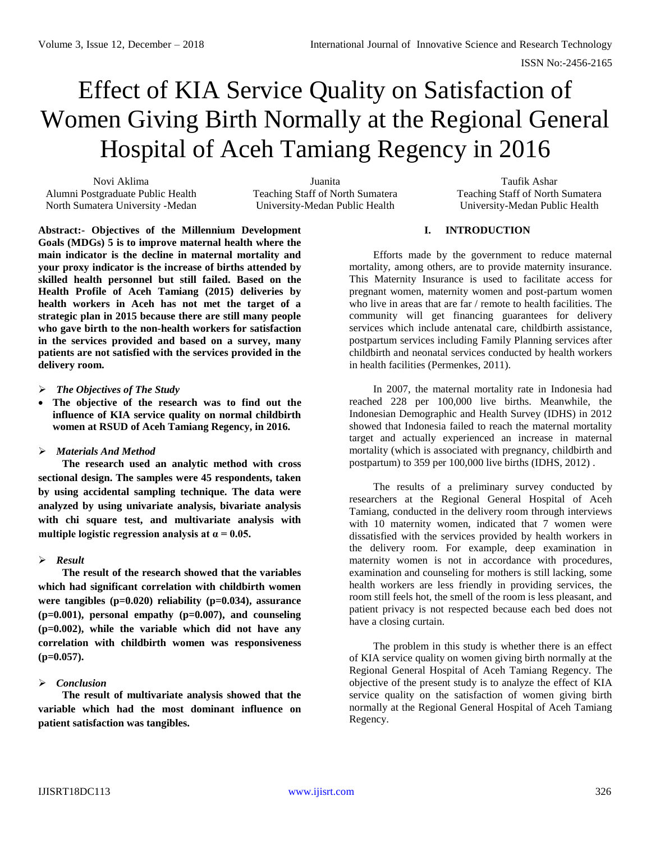# Effect of KIA Service Quality on Satisfaction of Women Giving Birth Normally at the Regional General Hospital of Aceh Tamiang Regency in 2016

Novi Aklima Alumni Postgraduate Public Health North Sumatera University -Medan

Juanita Teaching Staff of North Sumatera University-Medan Public Health

Taufik Ashar Teaching Staff of North Sumatera University-Medan Public Health

**Abstract:- Objectives of the Millennium Development Goals (MDGs) 5 is to improve maternal health where the main indicator is the decline in maternal mortality and your proxy indicator is the increase of births attended by skilled health personnel but still failed. Based on the Health Profile of Aceh Tamiang (2015) deliveries by health workers in Aceh has not met the target of a strategic plan in 2015 because there are still many people who gave birth to the non-health workers for satisfaction in the services provided and based on a survey, many patients are not satisfied with the services provided in the delivery room.**

- *The Objectives of The Study*
- **The objective of the research was to find out the influence of KIA service quality on normal childbirth women at RSUD of Aceh Tamiang Regency, in 2016.**
- *Materials And Method*

**The research used an analytic method with cross sectional design. The samples were 45 respondents, taken by using accidental sampling technique. The data were analyzed by using univariate analysis, bivariate analysis with chi square test, and multivariate analysis with**  multiple logistic regression analysis at  $\alpha = 0.05$ .

# *Result*

**The result of the research showed that the variables which had significant correlation with childbirth women were tangibles (p=0.020) reliability (p=0.034), assurance (p=0.001), personal empathy (p=0.007), and counseling (p=0.002), while the variable which did not have any correlation with childbirth women was responsiveness (p=0.057).**

# *Conclusion*

**The result of multivariate analysis showed that the variable which had the most dominant influence on patient satisfaction was tangibles.**

## **I. INTRODUCTION**

Efforts made by the government to reduce maternal mortality, among others, are to provide maternity insurance. This Maternity Insurance is used to facilitate access for pregnant women, maternity women and post-partum women who live in areas that are far / remote to health facilities. The community will get financing guarantees for delivery services which include antenatal care, childbirth assistance, postpartum services including Family Planning services after childbirth and neonatal services conducted by health workers in health facilities (Permenkes, 2011).

In 2007, the maternal mortality rate in Indonesia had reached 228 per 100,000 live births. Meanwhile, the Indonesian Demographic and Health Survey (IDHS) in 2012 showed that Indonesia failed to reach the maternal mortality target and actually experienced an increase in maternal mortality (which is associated with pregnancy, childbirth and postpartum) to 359 per 100,000 live births (IDHS, 2012) .

The results of a preliminary survey conducted by researchers at the Regional General Hospital of Aceh Tamiang, conducted in the delivery room through interviews with 10 maternity women, indicated that 7 women were dissatisfied with the services provided by health workers in the delivery room. For example, deep examination in maternity women is not in accordance with procedures, examination and counseling for mothers is still lacking, some health workers are less friendly in providing services, the room still feels hot, the smell of the room is less pleasant, and patient privacy is not respected because each bed does not have a closing curtain.

The problem in this study is whether there is an effect of KIA service quality on women giving birth normally at the Regional General Hospital of Aceh Tamiang Regency. The objective of the present study is to analyze the effect of KIA service quality on the satisfaction of women giving birth normally at the Regional General Hospital of Aceh Tamiang Regency.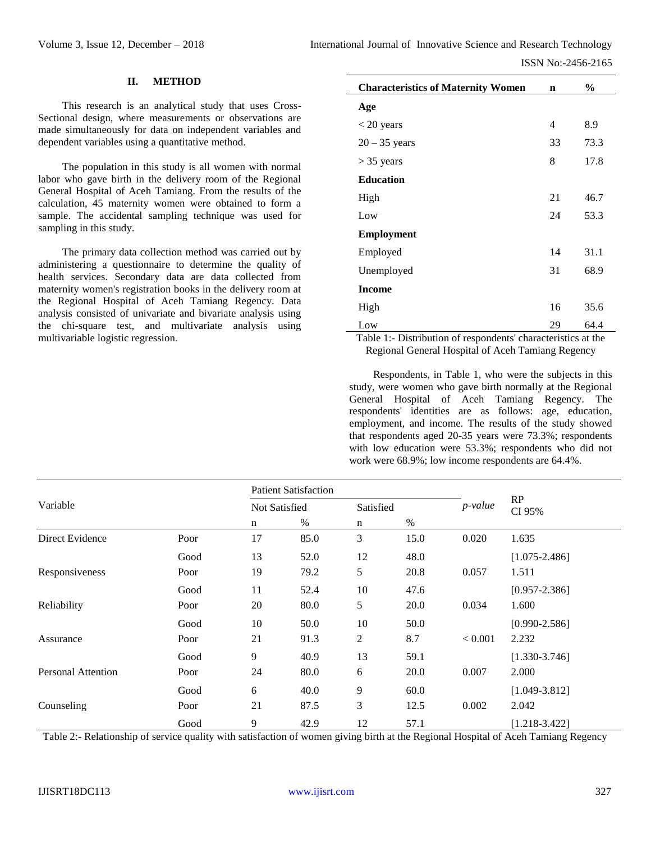## **II. METHOD**

This research is an analytical study that uses Cross-Sectional design, where measurements or observations are made simultaneously for data on independent variables and dependent variables using a quantitative method.

The population in this study is all women with normal labor who gave birth in the delivery room of the Regional General Hospital of Aceh Tamiang. From the results of the calculation, 45 maternity women were obtained to form a sample. The accidental sampling technique was used for sampling in this study.

The primary data collection method was carried out by administering a questionnaire to determine the quality of health services. Secondary data are data collected from maternity women's registration books in the delivery room at the Regional Hospital of Aceh Tamiang Regency. Data analysis consisted of univariate and bivariate analysis using the chi-square test, and multivariate analysis using multivariable logistic regression.

| <b>Characteristics of Maternity Women</b> | $\mathbf n$ | $\%$ |
|-------------------------------------------|-------------|------|
| Age                                       |             |      |
| $<$ 20 years                              | 4           | 8.9  |
| $20 - 35$ years                           | 33          | 73.3 |
| $>$ 35 years                              | 8           | 17.8 |
| <b>Education</b>                          |             |      |
| High                                      | 21          | 46.7 |
| Low                                       | 24          | 53.3 |
| <b>Employment</b>                         |             |      |
| Employed                                  | 14          | 31.1 |
| Unemployed                                | 31          | 68.9 |
| <b>Income</b>                             |             |      |
| High                                      | 16          | 35.6 |
| Low                                       | 29          | 64.4 |

Table 1:- Distribution of respondents' characteristics at the Regional General Hospital of Aceh Tamiang Regency

Respondents, in Table 1, who were the subjects in this study, were women who gave birth normally at the Regional General Hospital of Aceh Tamiang Regency. The respondents' identities are as follows: age, education, employment, and income. The results of the study showed that respondents aged 20-35 years were 73.3%; respondents with low education were 53.3%; respondents who did not work were 68.9%; low income respondents are 64.4%.

|                    |      | <b>Patient Satisfaction</b> |             |           |      |            |                   |
|--------------------|------|-----------------------------|-------------|-----------|------|------------|-------------------|
| Variable           |      | <b>Not Satisfied</b>        |             | Satisfied |      | $p$ -value | RP<br>CI 95%      |
|                    |      | %<br>n                      | $\mathbf n$ | $\%$      |      |            |                   |
| Direct Evidence    | Poor | 17                          | 85.0        | 3         | 15.0 | 0.020      | 1.635             |
|                    | Good | 13                          | 52.0        | 12        | 48.0 |            | $[1.075 - 2.486]$ |
| Responsiveness     | Poor | 19                          | 79.2        | 5         | 20.8 | 0.057      | 1.511             |
|                    | Good | 11                          | 52.4        | 10        | 47.6 |            | $[0.957 - 2.386]$ |
| Reliability        | Poor | 20                          | 80.0        | 5         | 20.0 | 0.034      | 1.600             |
|                    | Good | 10                          | 50.0        | 10        | 50.0 |            | $[0.990 - 2.586]$ |
| Assurance          | Poor | 21                          | 91.3        | 2         | 8.7  | < 0.001    | 2.232             |
|                    | Good | 9                           | 40.9        | 13        | 59.1 |            | $[1.330 - 3.746]$ |
| Personal Attention | Poor | 24                          | 80.0        | 6         | 20.0 | 0.007      | 2.000             |
|                    | Good | 6                           | 40.0        | 9         | 60.0 |            | $[1.049 - 3.812]$ |
| Counseling         | Poor | 21                          | 87.5        | 3         | 12.5 | 0.002      | 2.042             |
|                    | Good | 9                           | 42.9        | 12        | 57.1 |            | $[1.218 - 3.422]$ |

Table 2:- Relationship of service quality with satisfaction of women giving birth at the Regional Hospital of Aceh Tamiang Regency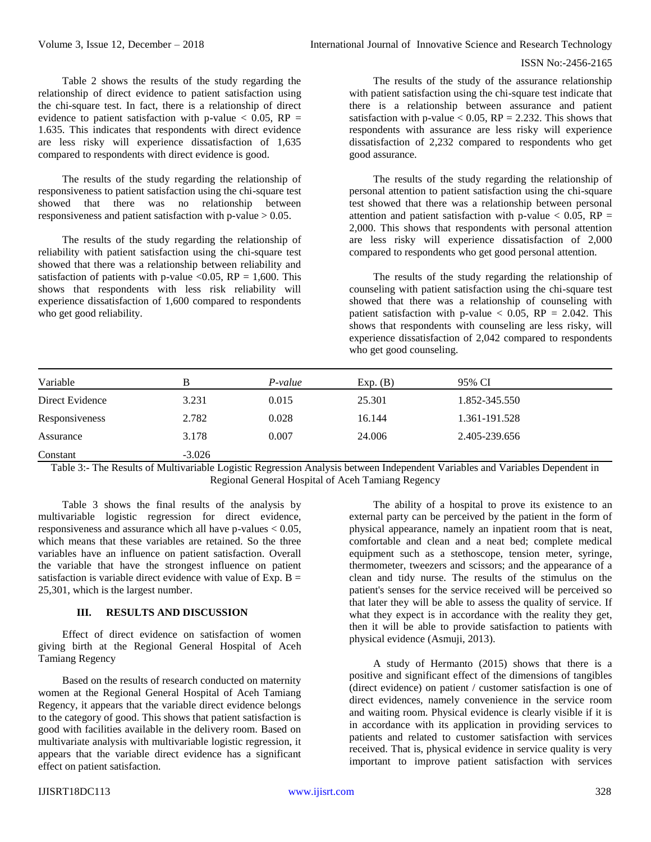Table 2 shows the results of the study regarding the relationship of direct evidence to patient satisfaction using the chi-square test. In fact, there is a relationship of direct evidence to patient satisfaction with p-value  $<$  0.05, RP = 1.635. This indicates that respondents with direct evidence are less risky will experience dissatisfaction of 1,635 compared to respondents with direct evidence is good.

The results of the study regarding the relationship of responsiveness to patient satisfaction using the chi-square test showed that there was no relationship between responsiveness and patient satisfaction with p-value > 0.05.

The results of the study regarding the relationship of reliability with patient satisfaction using the chi-square test showed that there was a relationship between reliability and satisfaction of patients with p-value  $< 0.05$ , RP = 1,600. This shows that respondents with less risk reliability will experience dissatisfaction of 1,600 compared to respondents who get good reliability.

The results of the study of the assurance relationship with patient satisfaction using the chi-square test indicate that there is a relationship between assurance and patient satisfaction with p-value  $< 0.05$ , RP = 2.232. This shows that respondents with assurance are less risky will experience dissatisfaction of 2,232 compared to respondents who get good assurance.

The results of the study regarding the relationship of personal attention to patient satisfaction using the chi-square test showed that there was a relationship between personal attention and patient satisfaction with p-value  $< 0.05$ , RP = 2,000. This shows that respondents with personal attention are less risky will experience dissatisfaction of 2,000 compared to respondents who get good personal attention.

The results of the study regarding the relationship of counseling with patient satisfaction using the chi-square test showed that there was a relationship of counseling with patient satisfaction with p-value  $< 0.05$ , RP = 2.042. This shows that respondents with counseling are less risky, will experience dissatisfaction of 2,042 compared to respondents who get good counseling.

| Variable        |          | P-value | Exp. (B) | 95% CI        |  |
|-----------------|----------|---------|----------|---------------|--|
| Direct Evidence | 3.231    | 0.015   | 25.301   | 1.852-345.550 |  |
| Responsiveness  | 2.782    | 0.028   | 16.144   | 1.361-191.528 |  |
| Assurance       | 3.178    | 0.007   | 24.006   | 2.405-239.656 |  |
| Constant        | $-3.026$ |         |          |               |  |

Table 3:- The Results of Multivariable Logistic Regression Analysis between Independent Variables and Variables Dependent in Regional General Hospital of Aceh Tamiang Regency

Table 3 shows the final results of the analysis by multivariable logistic regression for direct evidence, responsiveness and assurance which all have p-values  $< 0.05$ , which means that these variables are retained. So the three variables have an influence on patient satisfaction. Overall the variable that have the strongest influence on patient satisfaction is variable direct evidence with value of Exp.  $B =$ 25,301, which is the largest number.

# **III. RESULTS AND DISCUSSION**

Effect of direct evidence on satisfaction of women giving birth at the Regional General Hospital of Aceh Tamiang Regency

Based on the results of research conducted on maternity women at the Regional General Hospital of Aceh Tamiang Regency, it appears that the variable direct evidence belongs to the category of good. This shows that patient satisfaction is good with facilities available in the delivery room. Based on multivariate analysis with multivariable logistic regression, it appears that the variable direct evidence has a significant effect on patient satisfaction.

The ability of a hospital to prove its existence to an external party can be perceived by the patient in the form of physical appearance, namely an inpatient room that is neat, comfortable and clean and a neat bed; complete medical equipment such as a stethoscope, tension meter, syringe, thermometer, tweezers and scissors; and the appearance of a clean and tidy nurse. The results of the stimulus on the patient's senses for the service received will be perceived so that later they will be able to assess the quality of service. If what they expect is in accordance with the reality they get, then it will be able to provide satisfaction to patients with physical evidence (Asmuji, 2013).

A study of Hermanto (2015) shows that there is a positive and significant effect of the dimensions of tangibles (direct evidence) on patient / customer satisfaction is one of direct evidences, namely convenience in the service room and waiting room. Physical evidence is clearly visible if it is in accordance with its application in providing services to patients and related to customer satisfaction with services received. That is, physical evidence in service quality is very important to improve patient satisfaction with services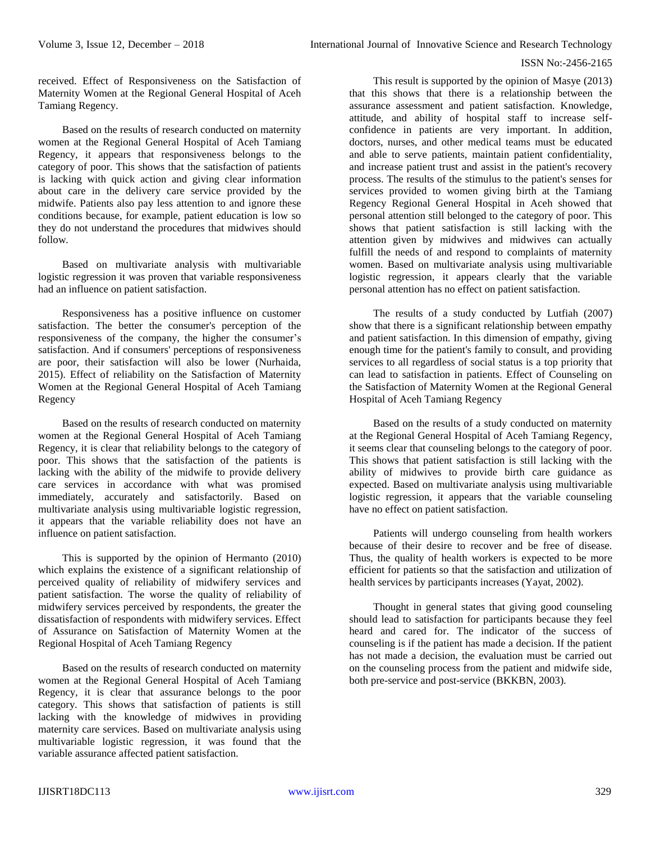received. Effect of Responsiveness on the Satisfaction of Maternity Women at the Regional General Hospital of Aceh Tamiang Regency.

Based on the results of research conducted on maternity women at the Regional General Hospital of Aceh Tamiang Regency, it appears that responsiveness belongs to the category of poor. This shows that the satisfaction of patients is lacking with quick action and giving clear information about care in the delivery care service provided by the midwife. Patients also pay less attention to and ignore these conditions because, for example, patient education is low so they do not understand the procedures that midwives should follow.

Based on multivariate analysis with multivariable logistic regression it was proven that variable responsiveness had an influence on patient satisfaction.

Responsiveness has a positive influence on customer satisfaction. The better the consumer's perception of the responsiveness of the company, the higher the consumer's satisfaction. And if consumers' perceptions of responsiveness are poor, their satisfaction will also be lower (Nurhaida, 2015). Effect of reliability on the Satisfaction of Maternity Women at the Regional General Hospital of Aceh Tamiang Regency

Based on the results of research conducted on maternity women at the Regional General Hospital of Aceh Tamiang Regency, it is clear that reliability belongs to the category of poor. This shows that the satisfaction of the patients is lacking with the ability of the midwife to provide delivery care services in accordance with what was promised immediately, accurately and satisfactorily. Based on multivariate analysis using multivariable logistic regression, it appears that the variable reliability does not have an influence on patient satisfaction.

This is supported by the opinion of Hermanto (2010) which explains the existence of a significant relationship of perceived quality of reliability of midwifery services and patient satisfaction. The worse the quality of reliability of midwifery services perceived by respondents, the greater the dissatisfaction of respondents with midwifery services. Effect of Assurance on Satisfaction of Maternity Women at the Regional Hospital of Aceh Tamiang Regency

Based on the results of research conducted on maternity women at the Regional General Hospital of Aceh Tamiang Regency, it is clear that assurance belongs to the poor category. This shows that satisfaction of patients is still lacking with the knowledge of midwives in providing maternity care services. Based on multivariate analysis using multivariable logistic regression, it was found that the variable assurance affected patient satisfaction.

This result is supported by the opinion of Masye (2013) that this shows that there is a relationship between the assurance assessment and patient satisfaction. Knowledge, attitude, and ability of hospital staff to increase selfconfidence in patients are very important. In addition, doctors, nurses, and other medical teams must be educated and able to serve patients, maintain patient confidentiality, and increase patient trust and assist in the patient's recovery process. The results of the stimulus to the patient's senses for services provided to women giving birth at the Tamiang Regency Regional General Hospital in Aceh showed that personal attention still belonged to the category of poor. This shows that patient satisfaction is still lacking with the attention given by midwives and midwives can actually fulfill the needs of and respond to complaints of maternity women. Based on multivariate analysis using multivariable logistic regression, it appears clearly that the variable personal attention has no effect on patient satisfaction.

The results of a study conducted by Lutfiah (2007) show that there is a significant relationship between empathy and patient satisfaction. In this dimension of empathy, giving enough time for the patient's family to consult, and providing services to all regardless of social status is a top priority that can lead to satisfaction in patients. Effect of Counseling on the Satisfaction of Maternity Women at the Regional General Hospital of Aceh Tamiang Regency

Based on the results of a study conducted on maternity at the Regional General Hospital of Aceh Tamiang Regency, it seems clear that counseling belongs to the category of poor. This shows that patient satisfaction is still lacking with the ability of midwives to provide birth care guidance as expected. Based on multivariate analysis using multivariable logistic regression, it appears that the variable counseling have no effect on patient satisfaction.

Patients will undergo counseling from health workers because of their desire to recover and be free of disease. Thus, the quality of health workers is expected to be more efficient for patients so that the satisfaction and utilization of health services by participants increases (Yayat, 2002).

Thought in general states that giving good counseling should lead to satisfaction for participants because they feel heard and cared for. The indicator of the success of counseling is if the patient has made a decision. If the patient has not made a decision, the evaluation must be carried out on the counseling process from the patient and midwife side, both pre-service and post-service (BKKBN, 2003).